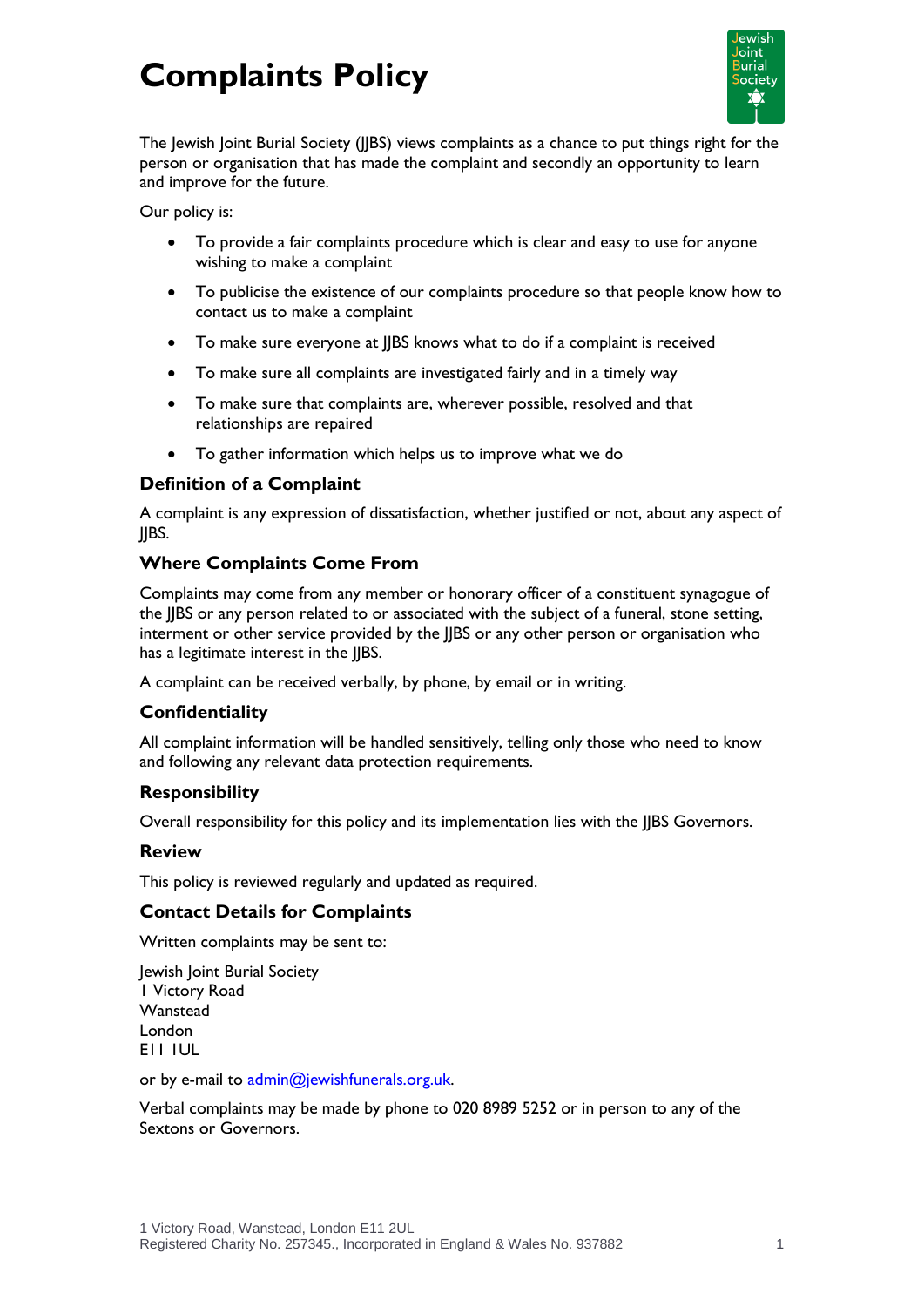# **Complaints Policy**



The Jewish Joint Burial Society (JJBS) views complaints as a chance to put things right for the person or organisation that has made the complaint and secondly an opportunity to learn and improve for the future.

Our policy is:

- To provide a fair complaints procedure which is clear and easy to use for anyone wishing to make a complaint
- To publicise the existence of our complaints procedure so that people know how to contact us to make a complaint
- To make sure everyone at JJBS knows what to do if a complaint is received
- To make sure all complaints are investigated fairly and in a timely way
- To make sure that complaints are, wherever possible, resolved and that relationships are repaired
- To gather information which helps us to improve what we do

# **Definition of a Complaint**

A complaint is any expression of dissatisfaction, whether justified or not, about any aspect of JJBS.

# **Where Complaints Come From**

Complaints may come from any member or honorary officer of a constituent synagogue of the JJBS or any person related to or associated with the subject of a funeral, stone setting, interment or other service provided by the JJBS or any other person or organisation who has a legitimate interest in the JJBS.

A complaint can be received verbally, by phone, by email or in writing.

## **Confidentiality**

All complaint information will be handled sensitively, telling only those who need to know and following any relevant data protection requirements.

## **Responsibility**

Overall responsibility for this policy and its implementation lies with the JJBS Governors.

#### **Review**

This policy is reviewed regularly and updated as required.

## **Contact Details for Complaints**

Written complaints may be sent to:

Jewish Joint Burial Society 1 Victory Road Wanstead London E11 1UL

or by e-mail to [admin@jewishfunerals.org.uk.](mailto:admin@jewishfunerals.org.uk)

Verbal complaints may be made by phone to 020 8989 5252 or in person to any of the Sextons or Governors.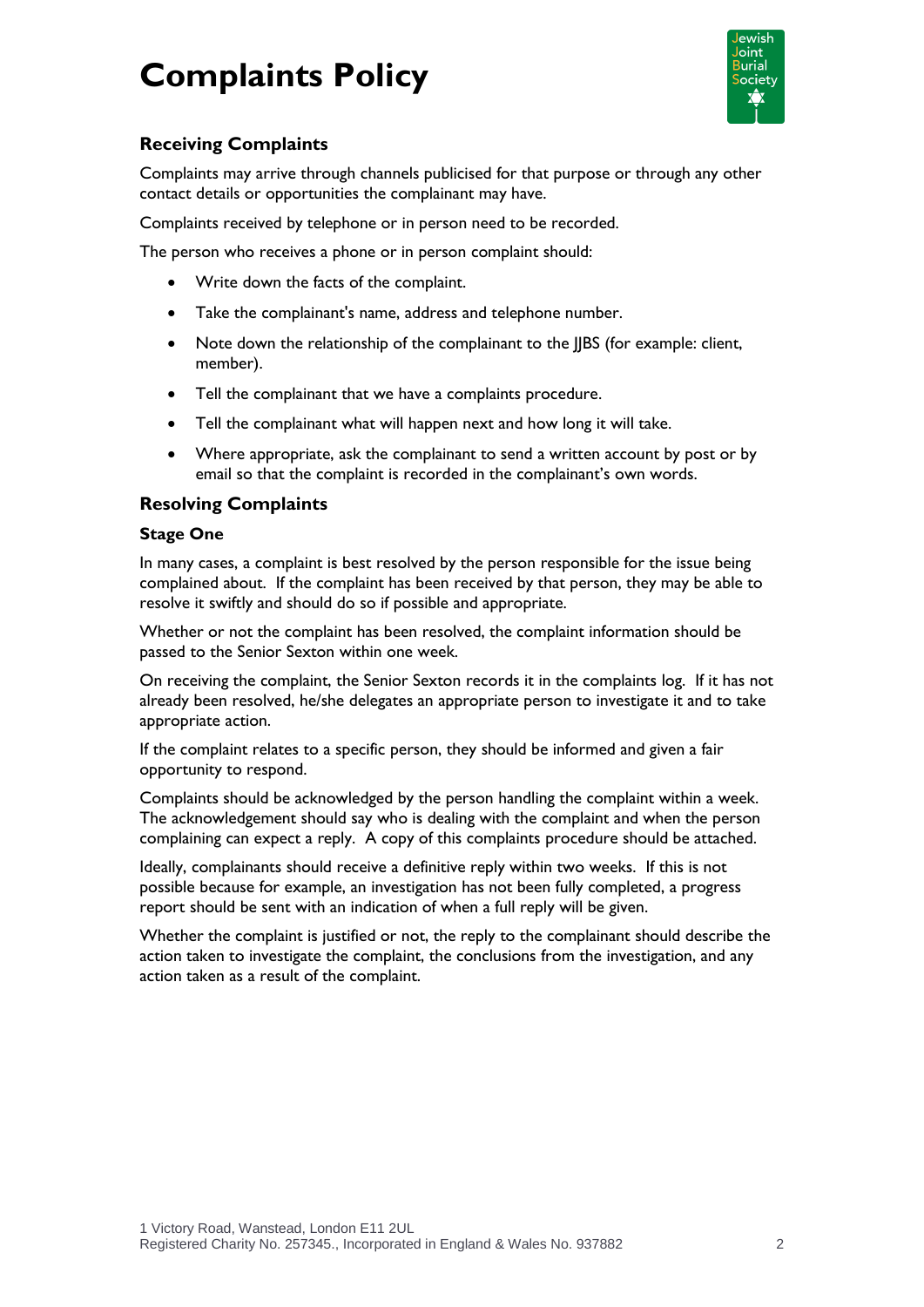# **Complaints Policy**



# **Receiving Complaints**

Complaints may arrive through channels publicised for that purpose or through any other contact details or opportunities the complainant may have.

Complaints received by telephone or in person need to be recorded.

The person who receives a phone or in person complaint should:

- Write down the facts of the complaint.
- Take the complainant's name, address and telephone number.
- Note down the relationship of the complainant to the JJBS (for example: client, member).
- Tell the complainant that we have a complaints procedure.
- Tell the complainant what will happen next and how long it will take.
- Where appropriate, ask the complainant to send a written account by post or by email so that the complaint is recorded in the complainant's own words.

# **Resolving Complaints**

#### **Stage One**

In many cases, a complaint is best resolved by the person responsible for the issue being complained about. If the complaint has been received by that person, they may be able to resolve it swiftly and should do so if possible and appropriate.

Whether or not the complaint has been resolved, the complaint information should be passed to the Senior Sexton within one week.

On receiving the complaint, the Senior Sexton records it in the complaints log. If it has not already been resolved, he/she delegates an appropriate person to investigate it and to take appropriate action.

If the complaint relates to a specific person, they should be informed and given a fair opportunity to respond.

Complaints should be acknowledged by the person handling the complaint within a week. The acknowledgement should say who is dealing with the complaint and when the person complaining can expect a reply. A copy of this complaints procedure should be attached.

Ideally, complainants should receive a definitive reply within two weeks. If this is not possible because for example, an investigation has not been fully completed, a progress report should be sent with an indication of when a full reply will be given.

Whether the complaint is justified or not, the reply to the complainant should describe the action taken to investigate the complaint, the conclusions from the investigation, and any action taken as a result of the complaint.